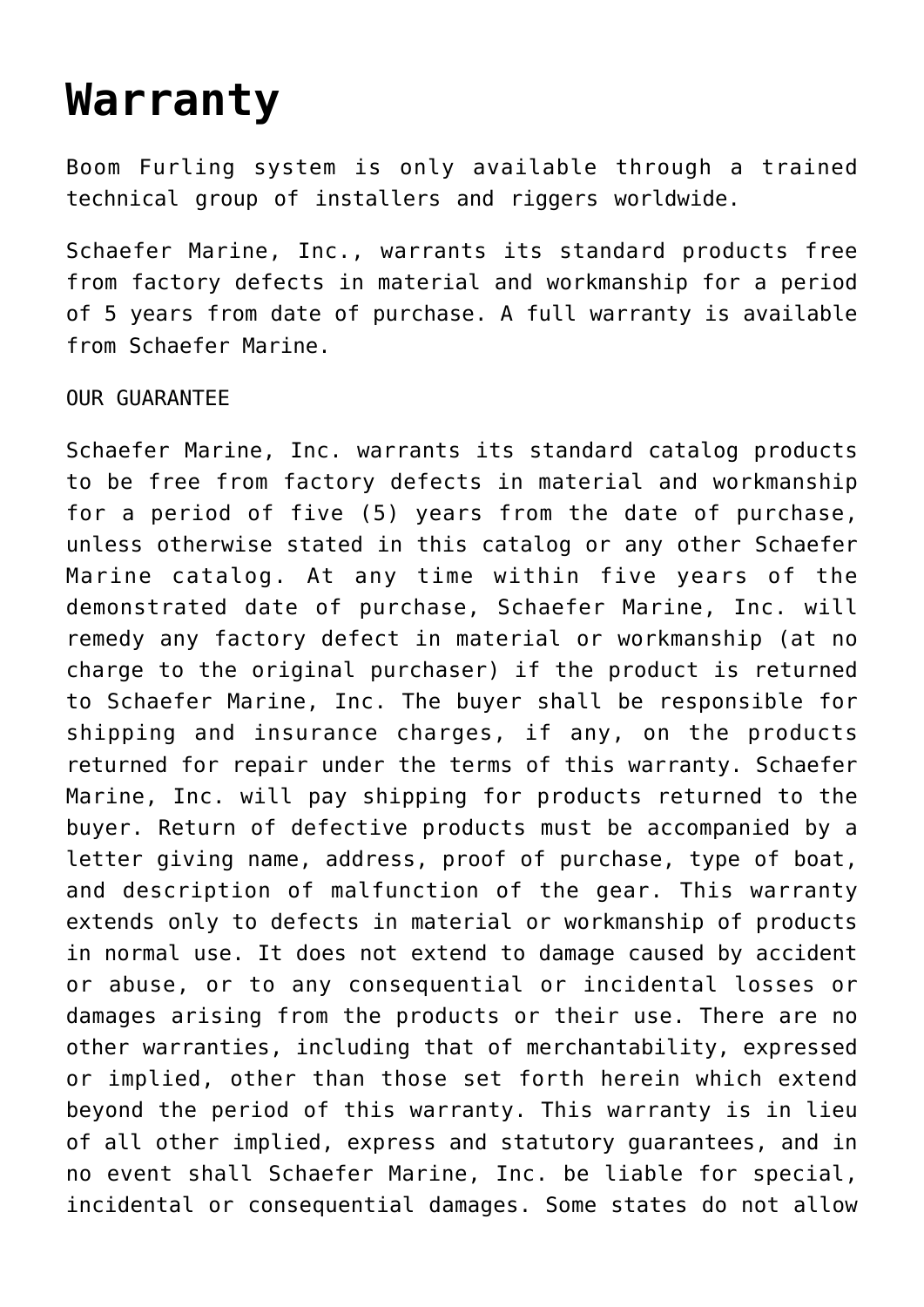## **[Warranty](https://www.schaefermarine.com/our-products/boom-furlers/warranty/)**

Boom Furling system is only available through a trained technical group of installers and riggers worldwide.

Schaefer Marine, Inc., warrants its standard products free from factory defects in material and workmanship for a period of 5 years from date of purchase. A full warranty is available from Schaefer Marine.

## OUR GUARANTEE

Schaefer Marine, Inc. warrants its standard catalog products to be free from factory defects in material and workmanship for a period of five (5) years from the date of purchase, unless otherwise stated in this catalog or any other Schaefer Marine catalog. At any time within five years of the demonstrated date of purchase, Schaefer Marine, Inc. will remedy any factory defect in material or workmanship (at no charge to the original purchaser) if the product is returned to Schaefer Marine, Inc. The buyer shall be responsible for shipping and insurance charges, if any, on the products returned for repair under the terms of this warranty. Schaefer Marine, Inc. will pay shipping for products returned to the buyer. Return of defective products must be accompanied by a letter giving name, address, proof of purchase, type of boat, and description of malfunction of the gear. This warranty extends only to defects in material or workmanship of products in normal use. It does not extend to damage caused by accident or abuse, or to any consequential or incidental losses or damages arising from the products or their use. There are no other warranties, including that of merchantability, expressed or implied, other than those set forth herein which extend beyond the period of this warranty. This warranty is in lieu of all other implied, express and statutory guarantees, and in no event shall Schaefer Marine, Inc. be liable for special, incidental or consequential damages. Some states do not allow